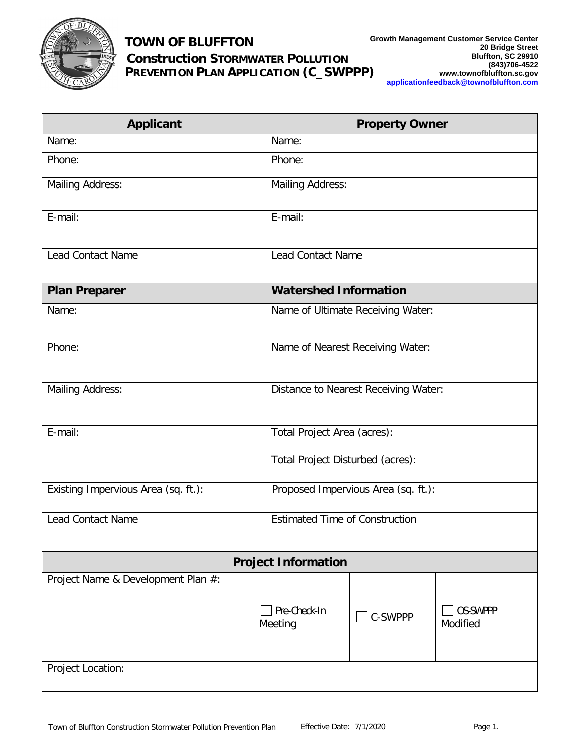

## **TOWN OF BLUFFTON**

## **Construction STORMWATER POLLUTION** PREVENTION PLAN APPLICATION (C\_SWPPP)

| <b>Applicant</b>                    |                                             | <b>Property Owner</b>                                                  |                                    |  |
|-------------------------------------|---------------------------------------------|------------------------------------------------------------------------|------------------------------------|--|
| Name:                               | Name:                                       |                                                                        |                                    |  |
| Phone:                              | Phone:                                      |                                                                        |                                    |  |
| <b>Mailing Address:</b>             | <b>Mailing Address:</b>                     |                                                                        |                                    |  |
| E-mail:                             | E-mail:                                     |                                                                        |                                    |  |
| <b>Lead Contact Name</b>            |                                             | <b>Lead Contact Name</b>                                               |                                    |  |
| <b>Plan Preparer</b>                | <b>Watershed Information</b>                |                                                                        |                                    |  |
| Name:                               | Name of Ultimate Receiving Water:           |                                                                        |                                    |  |
| Phone:                              | Name of Nearest Receiving Water:            |                                                                        |                                    |  |
| <b>Mailing Address:</b>             | <b>Distance to Nearest Receiving Water:</b> |                                                                        |                                    |  |
| E-mail:                             |                                             | Total Project Area (acres):<br><b>Total Project Disturbed (acres):</b> |                                    |  |
|                                     |                                             |                                                                        |                                    |  |
| Existing Impervious Area (sq. ft.): | Proposed Impervious Area (sq. ft.):         |                                                                        |                                    |  |
| <b>Lead Contact Name</b>            | <b>Estimated Time of Construction</b>       |                                                                        |                                    |  |
| <b>Project Information</b>          |                                             |                                                                        |                                    |  |
| Project Name & Development Plan #:  | Pre-Check-In<br>Meeting                     | <b>C-SWPPP</b>                                                         | <b>OS-SWPPP</b><br><b>Modified</b> |  |
| <b>Project Location:</b>            |                                             |                                                                        |                                    |  |